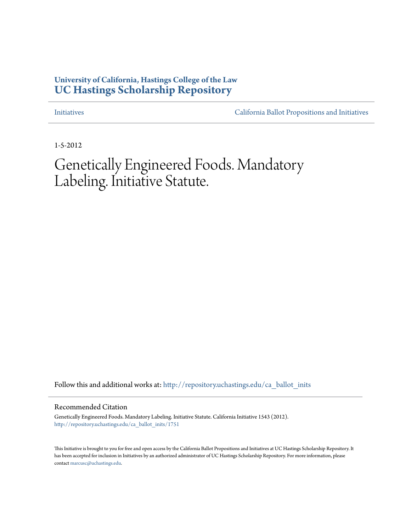# **University of California, Hastings College of the Law [UC Hastings Scholarship Repository](http://repository.uchastings.edu?utm_source=repository.uchastings.edu%2Fca_ballot_inits%2F1751&utm_medium=PDF&utm_campaign=PDFCoverPages)**

[Initiatives](http://repository.uchastings.edu/ca_ballot_inits?utm_source=repository.uchastings.edu%2Fca_ballot_inits%2F1751&utm_medium=PDF&utm_campaign=PDFCoverPages) [California Ballot Propositions and Initiatives](http://repository.uchastings.edu/ca_ballots?utm_source=repository.uchastings.edu%2Fca_ballot_inits%2F1751&utm_medium=PDF&utm_campaign=PDFCoverPages)

1-5-2012

# Genetically Engineered Foods. Mandatory Labeling. Initiative Statute.

Follow this and additional works at: [http://repository.uchastings.edu/ca\\_ballot\\_inits](http://repository.uchastings.edu/ca_ballot_inits?utm_source=repository.uchastings.edu%2Fca_ballot_inits%2F1751&utm_medium=PDF&utm_campaign=PDFCoverPages)

Recommended Citation

Genetically Engineered Foods. Mandatory Labeling. Initiative Statute. California Initiative 1543 (2012). [http://repository.uchastings.edu/ca\\_ballot\\_inits/1751](http://repository.uchastings.edu/ca_ballot_inits/1751?utm_source=repository.uchastings.edu%2Fca_ballot_inits%2F1751&utm_medium=PDF&utm_campaign=PDFCoverPages)

This Initiative is brought to you for free and open access by the California Ballot Propositions and Initiatives at UC Hastings Scholarship Repository. It has been accepted for inclusion in Initiatives by an authorized administrator of UC Hastings Scholarship Repository. For more information, please contact [marcusc@uchastings.edu](mailto:marcusc@uchastings.edu).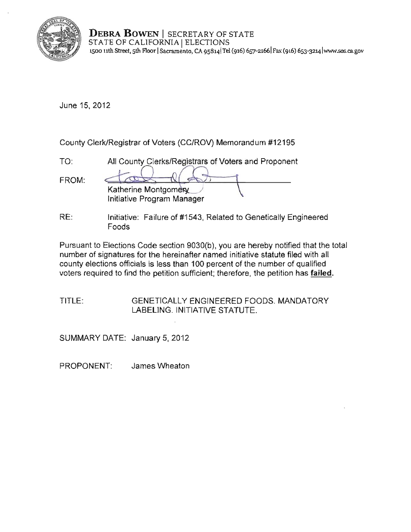

**DEBRA BOWEN** | SECRETARY OF STATE STATE OF CALIFORNIA | ELECTIONS **1500 11th Street, 5th Floor ISacramento, CA 9S8141Tel (916) 657-21661 Fax (916) 653-3214 lwww.sos.ca.gov** 

June 15, 2012

County Clerk/Registrar of Voters (CC/ROV) Memorandum #12195

| TO:   | All County Clerks/Registrars of Voters and Proponent |
|-------|------------------------------------------------------|
| FROM: | Katherine Montgomery<br>Initiative Program Manager   |

RE: Initiative: Failure of #1543, Related to Genetically Engineered Foods

Pursuant to Elections Code section 9030(b), you are hereby notified that the total number of signatures for the hereinafter named initiative statute filed with all county elections officials is less than 100 percent of the number of qualified voters required to find the petition sufficient; therefore, the petition has **failed.** 

# TITLE: GENETICALLY ENGINEERED FOODS. MANDATORY LABELING. INITIATIVE STATUTE.

SUMMARY DATE: January 5, 2012

PROPONENT: James Wheaton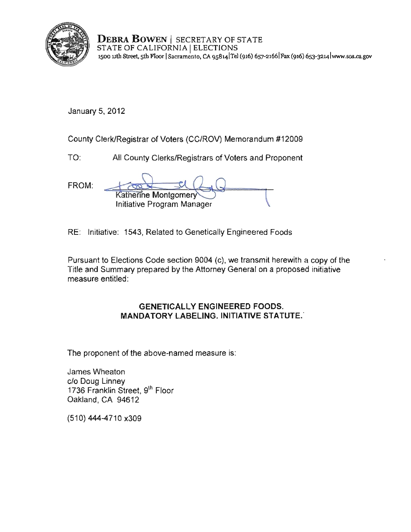

DEBRA BOWEN | SECRETARY OF STATE STATE OF CALIFORNIA | ELECTIONS 1500 11th Street, 5th F100r ISacramento, CA 9SS141TeI (916) 657-21661Fax (916) 6S3-3214 lwww-sos.ca.gov

January 5,2012

County Clerk/Registrar of Voters (CC/ROV) Memorandum #12009

TO: All County Clerks/Registrars of Voters and Proponent

FROM: **Katherine Montgomery** Initiative Program Manager

RE: Initiative: 1543, Related to Genetically Engineered Foods

Pursuant to Elections Code section 9004 (c), we transmit herewith a copy of the Title and Summary prepared by the Attorney General on a proposed initiative measure entitled:

# GENETICALLY ENGINEERED FOODS. MANDATORY LABELING. INITIATIVE STATUTE.

The proponent of the above-named measure is:

James Wheaton clo Doug Linney 1736 Franklin Street, 9th Floor Oakland, CA 94612

(510) 444-4710 x309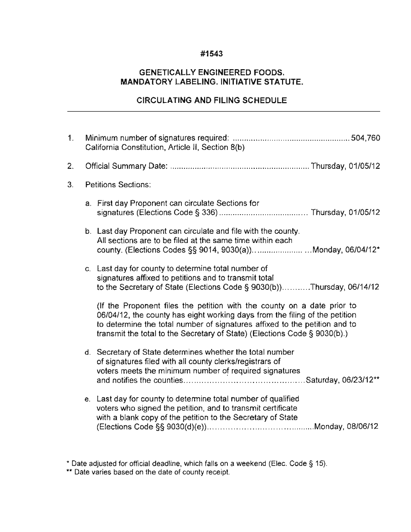### **#1543**

# **GENETICALLY ENGINEERED FOODS. MANDATORY LABELING. INITIATIVE STATUTE.**

# **CIRCULATING AND FILING SCHEDULE**

| 1 <sub>1</sub> | California Constitution, Article II, Section 8(b) |                                                                                                                                                                                                                                                                                                                   |  |
|----------------|---------------------------------------------------|-------------------------------------------------------------------------------------------------------------------------------------------------------------------------------------------------------------------------------------------------------------------------------------------------------------------|--|
| 2.             |                                                   |                                                                                                                                                                                                                                                                                                                   |  |
| 3.             |                                                   | <b>Petitions Sections:</b>                                                                                                                                                                                                                                                                                        |  |
|                |                                                   | a. First day Proponent can circulate Sections for                                                                                                                                                                                                                                                                 |  |
|                |                                                   | b. Last day Proponent can circulate and file with the county.<br>All sections are to be filed at the same time within each<br>county. (Elections Codes §§ 9014, 9030(a))Monday, 06/04/12*                                                                                                                         |  |
|                |                                                   | c. Last day for county to determine total number of<br>signatures affixed to petitions and to transmit total<br>to the Secretary of State (Elections Code § 9030(b))Thursday, 06/14/12                                                                                                                            |  |
|                |                                                   | (If the Proponent files the petition with the county on a date prior to<br>06/04/12, the county has eight working days from the filing of the petition<br>to determine the total number of signatures affixed to the petition and to<br>transmit the total to the Secretary of State) (Elections Code § 9030(b).) |  |
|                |                                                   | d. Secretary of State determines whether the total number<br>of signatures filed with all county clerks/registrars of<br>voters meets the minimum number of required signatures                                                                                                                                   |  |
|                |                                                   | e. Last day for county to determine total number of qualified<br>voters who signed the petition, and to transmit certificate<br>with a blank copy of the petition to the Secretary of State                                                                                                                       |  |

<sup>\*</sup> Date adjusted for official deadline, which falls on a weekend (Elec. Code § 15).

**<sup>\*\*</sup> Date varies based on the date of county receipt.**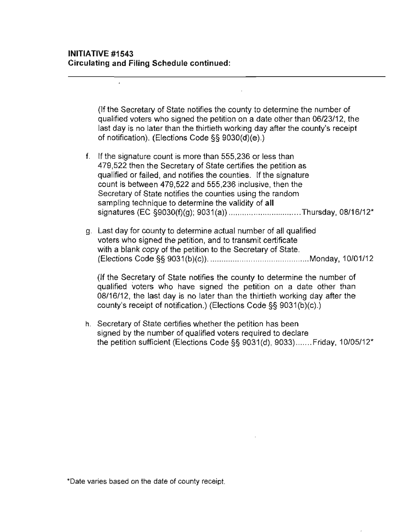$\overline{a}$ 

(If the Secretary of State notifies the county to determine the number of qualified voters who signed the petition on a date other than 06/23/12. the last day is no later than the thirtieth working day after the county's receipt of notification). (Elections Code §§ 9030(d)(e).)

- f. If the signature count is more than 555.236 or less than 479.522 then the Secretary of State certifies the petition as qualified or failed. and notifies the counties. If the signature count is between 479.522 and 555.236 inclusive. then the Secretary of State notifies the counties using the random sampling technique to determine the validity of all signatures (EC §9030(f)(g); 9031(a)) .................................Thursday, 08/16/12\*
- g. Last day for county to determine actual number of all qualified voters who signed the petition. and to transmit certificate with a blank copy of the petition to the Secretary of State. (Elections Code §§ 9031 (b)(c)) ............................................. Monday. 10101/12

(If the Secretary of State notifies the county to determine the number of qualified voters who have signed the petition on a date other than 08/16/12. the last day is no later than the thirtieth working day after the county's receipt of notification.) (Elections Code §§ 9031 (b)(c).)

h. Secretary of State certifies whether the petition has been signed by the number of qualified voters required to declare the petition sufficient (Elections Code §§ 9031(d). 9033) ....... Friday. 10105/12'

**\*Oate varies based on the date of county receipt.**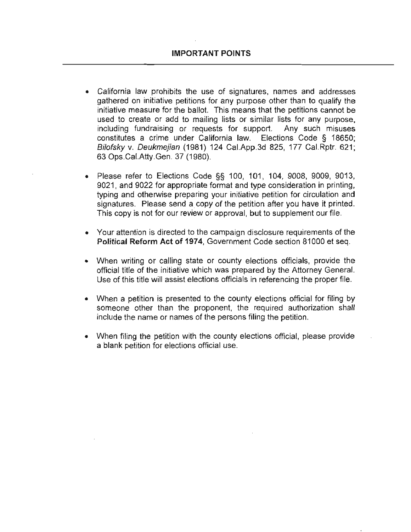- **California law prohibits the use of signatures, names and addresses**  gathered on initiative petitions for any purpose other than to qualify the initiative measure for the ballot. This means that the petitions cannot be used to create or add to mailing lists or similar lists for any purpose, including fundraising or requests for support. Any such misuses constitutes a crime under California law. Elections Code § 18650; Bilofsky v. Deukmejian (1981) 124 Cal.App.3d 825, 177 Cal.Rptr. 621; 63 Ops.CaLAtty.Gen. 37 (1980).
- Please refer to Elections Code §§ 100, 101, 104, 9008, 9009, 9013, 9021, and 9022 for appropriate format and type consideration in printing, typing and otherwise preparing your initiative petition for circulation and signatures. Please send a copy of the petition after you have it printed. This copy is not for our review or approval, but to supplement our file.
- **Your attention is directed to the campaign disclosure requirements of the Political Reform Act of** 1974, Government Code section 81000 et seq.
- When writing or calling state or county elections officials, provide the official title of the initiative which was prepared by the Attorney General. Use of this title will assist elections officials in referencing the proper file.
- When a petition is presented to the county elections official for filing by someone other than the proponent, the required authorization shall include the name or names of the persons filing the petition.
- When filing the petition with the county elections official, please provide a blank petition for elections official use.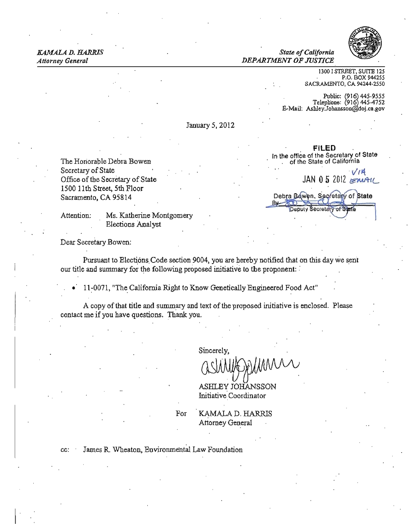

#### **State of California** *Attorney General DEPARTMENT OF JUSTICE*

*KAMALA D. IIAlIRlS State California* 

1300 I S1REET, SUITE 125 P.O. BOX 944255 SACRAMENTO, CA 94244-2550

Public: (916) 445-9555<br>Telephone: (916) 445-4752  $E-Mail:$  Ashley.Johansson@doj.ca.gov

January 5, 2012

Office of the Secretary of State 1500 11th Street, 5th Floor Sacramento, CA 95814

I

Attention: Ms. Katherine Montgomery Elections Analyst

FILED In the office of the Secretary of State The Honorable Debra Bowen . The Honorable Debra Bowen . The State of California Secretary of State<br>
Office of the Secretary of State<br> *Office of the Secretary of State IAN* 0 5 2012 Debra Bowen, Secretary of State Deputy Secretary

Dear Secretary Bowen:

Pursuant to Elections Code section 9004, you are hereby notified that on this day we sent our title and summary for the following proposed initiative to the proponent:

• 11:0071, ''The. California Right to Know Genetically Engineered Food Act"

A copy of that title and summary and text of the proposed initiative is enclosed. Please contact me if you have questions. Thank you.

Sincerely,

ASHLEY JOHANSSON Initiative' Coordinator

For **KAMALA D. HARRIS** Attorney General

cc: James R Wheaton, Environmental Law Foundation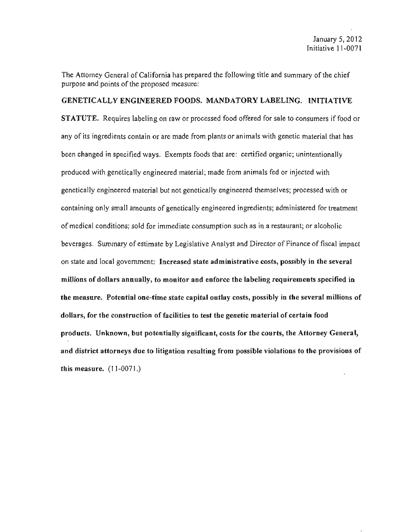The Attorney General of California has prepared the following title and summary of the chief purpose and points of the proposed measure:

#### GENETICALLY ENGINEERED FOODS, MANDATORY LABELING. INITIATIVE

STATUTE. Requires labeling on raw or processed food offered for sale to consumers if food or any of its ingredients contain or are made from plants or animals with genetic material that has been changed in specified ways. Exempts foods that are: certified organic; unintentionally produced with genetically engineered material; made from animals fed or injected with genetically engineered material but not genetically engineered themselves; processed with or containing only small amounts of genetically engineered ingredients; administered for treatment of medical conditions; sold for immediate consumption such as in a restaurant; or alcoholic beverages. Summary of estimate by Legislative Analyst and Director of Finance of fiscal impact on state and local government: Increased state administrative costs, possibly in the several millions of dollars annually, to monitor and enforce the labeling requirements specified in the measure. Potential one-time state capital outlay costs, possibly in the several millions of dollars, for the construction of facilities to test the genetic material of certain food products. Unknown, but potentially significant, costs for the courts, the Attorney General, and district attorneys due to litigation resulting from possible violations to the provisions of this measure. (11-0071.)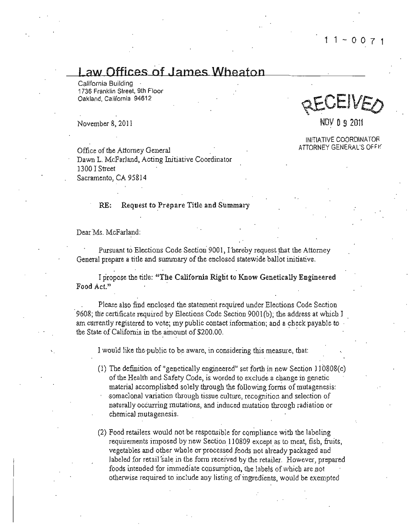# Law Offices of James Wheaton

Califomia Building 1736 Franklin Street, 9th Floor Oakland, California 94612

Office of the Attorney General and the Attorney General and the Attorney General contract of the Attorney General Dawn L. McFarland, Acting Initiative Coordinator 1300 I Street Sacramento, CA 95814

#### RE: Request to Prepare Title and Summary

Dear Ms. McFarland:

Pursuant to Elections Code Section 9001, I hereby request that the Attorney General prepare a title and summary of the enclosed statewide ballot initiative.

I propose the title: "The California Right to Know Genetically Engineered Food Act."

Please also find enclosed the statement required under Elections Code Section 9608; the certificate required by Elections Code Section 9001(b); the address at which I am currently registered to vote; my public contact infonnation; and a check payable to the State of California in the amount of \$200.00.

I would like the public to be aware, in considering this measure, that:

(1) The definition of "genetically engineered" set forth in new Section 110808(c) of the Health and Safety Code, is worded to exclude a change in genetic material accomplished solely through the following foms of mutagenesis: somaclonal variation through tissue culture, recognition and selection of naturally occurring mutations, and induced mutation througb radiation or chemical mutagenesis.

(2) Food retailers would not be responsible for compliance with the labeling requirements imposed by new Section 110809 except as to meat, fish, fruits, vegetables and other whole or processed foods not already packaged and labeled for retail sale in the form received by the retailer. However, prepared foods intended for immediate consumption, the labels of which are not otherwise required to include any listing of ingredients, would be exempted

2EUEIVED

 $N_{\rm OV}$  =  $N_{\rm OV}$  0 9 2011

INITIATIVE COORDINATOR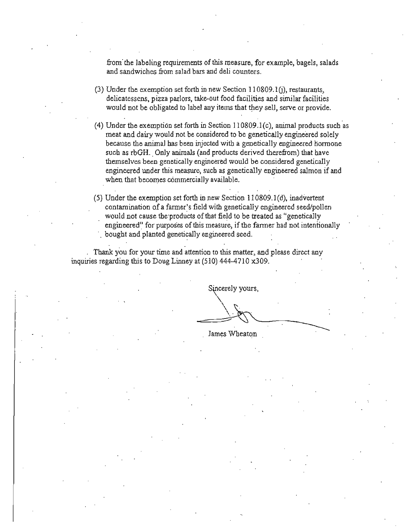from the labeling requirements of this measure, for example, bagels, salads and sandwiches from salad bars and deli counters.

- (3) Under the exemption set forth in new Section 110809.10), restaurants, delicatessens, pizza parlors, take-out food facilities and similar facilities would not be obligated to label any items that they sell, serve or provide.
- (4) Under the exemption set forth in Section 110809.1(c), animal products such as meat and dairy would not be considered to be genetically engineered solely because the animal has been injected with a genetically engineered hormone such as rbGH. Only animals (and products derived therefrom) that have themselves been genetically engineered would be considered genetically engineered under this measure, such as genetically engineered salmon if and when that becomes commercially available.
- (5) Under the exemption set forth in new Section I I 0809.1 (d), inadvertent contamination of a fanner's field with genetically engineered seed/pollen would not cause the products of that field to be treated as "genetically engineered" for purposes of this measure, if the farmer had not intentionally bought and planted genetically engineered seed.

Thank you for your time and attention to this matter, and please direct any inquiries regarding this to Doug Linney at (510) 444-4710 x309.

Sincerely yours,

 $\sum_{i=1}^{n}$ James Wheaton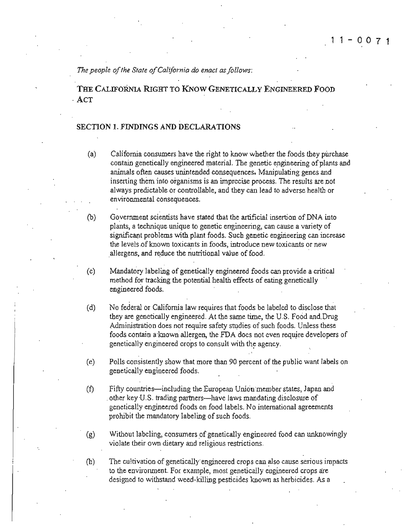The people of the State of California do enact as follows:

THE CALIFORNIA RIGHT TO KNow GENETICALLY ENGINEERED FOOD . ACT

#### SECTION 1. FINDINGS AND DECLARATIONS

- (a) California consumers have the right to know whether the foods they purchase contain genetically engineered material. The genetic engineering of plants and anima1s often causes unintended consequences. Manipulating genes and inserting them into organisms is an imprecise process. The results are not always predictable or controllable, and they can lead to adverse health or environmental consequences.
- (b) Goverrunent scientists have stated that the artificial insertion of DNA into plants, a teclmique unique to genetic engineering. can cause a variety of significant problems with plant foods. Such genetic engineering can increase the levels.of known toxicants in foods, introduce new toxicants or new allergens, and reduce the nutritional value of food.
- (c) Mandatory labeling of genetically engineered foods can provide a critical method for tracking the potential health effects of eating genetically engineered foods.
- (d) No federal or California law requires that foods be labeled to disclose that they are genetically engineered. At the same time, the U.S. Food and Drug Administration does not require safety studies of such foods. Unless these foods contain a known allergen, the FDA does not even require developers of genetically engineered crops to consult with the agency.
- (e) Polls consistently show that more than 90 percent of the public want labels on genetically engineered foods.
- (f) Fifty countries-including the European Union member states, Japan and . other key U.S. trading partners-have laws mandating disclosure of genetically engineered foods on food labels. No international agreements prohibit the mandatory labeling of such foods.
- (g) Without labeling, consumers of genetically engineered food can unknowingly violate their own dietary and religious restrictions.
- (h) The cultivation of genetically' engineered crops can also cause serious impacts to the environment. For example, most genetically engineered crops are designed to withstand weed-killing pesticides known as herbicides. As a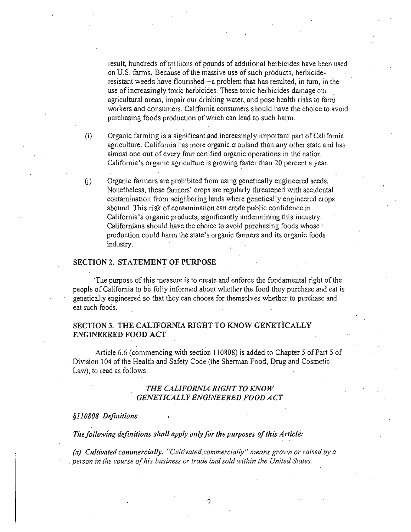result, hundreds of millions of pounds of additional herbicides have been used on U.S. fanns. Because of the massive use of such products, herbicideresistant weeds have flourished-a problem that has resulted, in tum, in the use ofincreasingly toxic herbicides. These toxic herbicides damage our agricultural areas, impair our drinking water, and pose health risks to farm workers and consumers. California consumers should have the choice to avoid purchasing foods production of which can lead to such harm.

 $(i)$  Organic farming is a significant and increasingly important part of California agriculture. California has more organic cropland than any other state and has almost one out of every four certified organic operations in the nation. California's organic agriculture is growing faster than 20 percent a year.

(i) Organic farmers are prohibited from using genetically engineered seeds. Nonetheless, these farmers' crops are regularly threatened with accidental contamination from neighboring lands where geneticalIy engineered crops abound. This risk of contamination can erode public confidence in California's organic products, significantly undermining this industry. Californians should have the choice to avoid purchasing foods whose · production could harm the state's organic farmers and its organic foods industry.

#### SECTION 2. STATEMENT OF PURPOSE

'The purpose of this measure is to create and enforce the fundamental right of the people of California to be fully infonned .about whether the food they purchase and eat is genetically engineered so that they can choose for themselves whether.to purchase and eat such foods.

#### SECTION 3. THE CALIFORNIA RIGHT TO KNOW GENETiCALLY ENGINEERED FOOD ACT

Article 6.6 (commencing with section 110808) is added to Chapter 5 of Part 5 of Division 104 of the Health and Safety Code (the Sherman Food, Drug and Cosmetic Law), to read as follows:

#### *THE CALIFORNIA RIGHT TO KNOW GENETICALLY ENGINEERED FOOD ACT*

*§110808 Definitions* 

The following definitions shall apply only for the purposes of this Article:

(a) Cultivated commercially. "Cultivated commercially" means grown or raised by a *person.in the course ofhis business or trade and sold within the United States.* 

2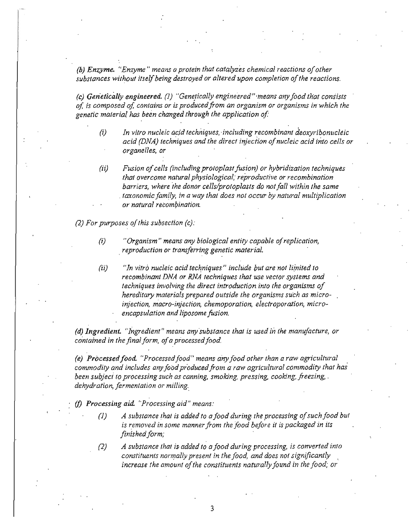*(b) Enzyme. "Enzyme" means a protein that catalyzes chemical reactions of other* substances without itself being destroyed or altered upon completion of the reactions.

*(c)* Genetically engineered. (1) "Genetically engineered" means any food that consists *of, is composed of, contains or is producedfrom an organism or organisms in' which the genetic material* has *been changed through the application of* 

- (i) *In vitro nucleic acid techniques, -including recombinant deoxyribonucleic acid (DNA) techniques and the direct injection of nucleic acid into cells or organelles, or*
- (ii) Fusion of cells (including protoplast fusion) or hybridization techniques *that overcome natural physiological,' reproductive or recombination*  barriers, where the donor cells/protoplasts do not fall within the same *taxonomic family, in a way that does not occur by natural multiplication or natural reCOmbination.*

*(2) For purposes of this subsection (c):* 

- (i) *"Organism" means any biological entity capable ofreplication, , reproduction or transferring genetic material.*
- (ij) *"In vitro nucleic acid techniques" include put are not limited to recombinant* DNA *or RNA techniques that use vector systems and techniques involving the direct introduction into the organisms of hereditary materials prepared outside the organisms such as micro injection, macro·injection, chemoporation, eiectroporation, micro· encapsulation and liposome fusion.*  and the contract of the contract of the contract of the contract of the contract of the contract of the contract of the contract of the contract of the contract of the contract of the contract of the contract of the contra

*(d) Ingredient. "Ingredient" means any substance that is used in the manufacture, or* contained in the final form, of a processed food.

*(e) Processed food. "Processed food" means any food other than a raw agricultural commodity and includes any food producedfrom a raw agricultural commodity (hat has been subjeci to processing such as canning, smoking, pressing, cooking, freezing,* . *dehydration, fermentation or milling..* 

(f) *Processillg aid. "Processing aid" means:* 

- *(1) A substance that is added to afood during the processing o/suchfood but is removed in some manner from the food before* it *is packaged in its finished form;*
- *(2) A Substance that is added to afood during processing, is converted into*  constituents normally present in the food, and does not significantly *increase the amount of the constituents naturally found in the food; or*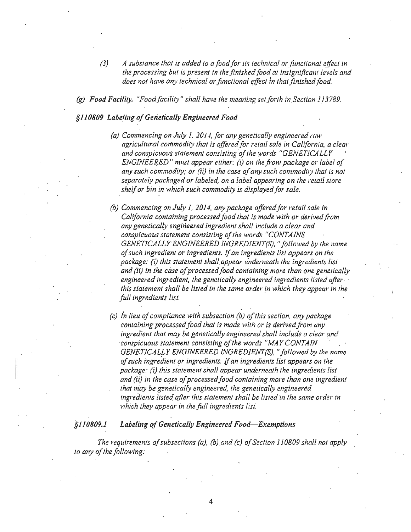*(3) A substance that is added* 10 *afood/or its technical or junctional effect in*  the processing but is present in the finished food at insignificant levels and does not have any technical or functional effect in that finished food.

*(g) Food Facility. "Foodfacility" shall have the meaning set forth in. Section J.l3789.* 

#### §110809 Labeling of Genetically Engineered Food

- *(a) Commencing on July* 1, *2014./or any genetically engineered raw agricultural commodity that is offered/or retail safe in California, a clear*  and conspicuous statement consisting of the words "GENETICALLY *ENGINEERED" must appear either:* (i) *on the front package or label of any such commodity; or (ii) in the case* 0/*any such commodity lhat is nol separately packaged or labeled, on a label appearing on the relail store shelfor bin in which such commodify is displayed for sale.*
- (b) Commencing on July 1, 2014, any package offered for retail sale in California containing processed food that is made with or derived from *any genetically engineered ingredient shall include a clear and*  conspicuous statement consisting of the words "CONTAINS *GENETICALLY ENGINEERED INGREDlENT(S) •*.. *followed by the name o/such ingredient or ingredients.* If*an ingredients list appears on the package: (i) this statement shall appear underneath the ingredients list and (ii) in the case ofprocessed/ood containing more than one genetically engineered ingredient, the genetically engineered ingredients listed after · this statement shall be listed in the same order in which they appear in the full ingredients list.*
- *(c) In lieu ofcompliance with subsection (b) ofthis section, any package contafning processedfood that is made* with *or is derivedfrom any ingredient that may be genetically engineered shall include a clear and conspicuous statement consisting ofthe words "MAYCONTAIN GENETICALLY ENGINEERED INGREDIENT(S)•*.. *followed by the name 0/such ingredient qr ingredients.* If*an ingredients list appears on the package: (i) this statement shall appear underneath the ingredients list*  and (ii) in the case of processed food containing more than one ingredient *that may be geneticallY engineered, the genetically engineered*  ingredients listed after this statement shall be listed in the same order in *which they appear in the full ingredients list.*

#### *§II0809.I Labeling o/Genetically Engineered Food-Exemptions*

*The requirements of subsections (a), (b) and (c) of Section 110809 shall not apply to any ofthe follOWing:* 

4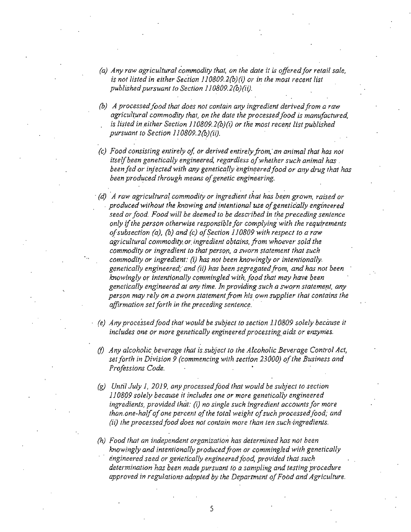- *(a) Any raw agricultural commodity that, on the date it is offered/or retail sale, is not listed in either Section 110809.2(b)(i) or in the most recent list published pursuant to Section 110809.2(b)(ii).*
- *(b) A* processed food that does not contain any ingredient derived from a raw agricultural commodity that, on the date the processed food is manufactured, *is listed in either Section J10809.2(b)(i) or the most recent list published pursuant to Section 110809.2(b)(ii}.*
- *(c) Food consisting entirely oj or derived entirely from, ' an animal that has not itself been genetically engineered, regardless of whether such animal has*. *been fed or injected with any genetically engineered food or any drug that has* been produced through means of genetic engineering.
- *(d)* A raw agricultural commodity or ingredient that has been grown, raised or produced without the knowing and intentional use of genetically engineered *seed or food. Food will be deemed to be described in the preceding sentence only if the person otherwise responsible for complying with the requirements afsubsection (a), (b) and (c) ofSection 110809 with respect to* a *raw agricultural commddily or. ingredient obtains, /rom whoever sold the commodity or ingredient to that person, a sworn statement that such commodity or ingredient: (i) has not been knowingly or intentionally. genetically engineered/and* (ii) *has been segregatedfrom, and has not been knowingly or intentionally commingled with, food that may have been* genetically engineered at any time. In providing such a sworn statement, any *person may rely on a sworn statement from his own supplier that contains the*  affirmation set forth in the preceding sentence.
- (e) Any processed food that would be subject to section 1.10809 solely because it includes one or more genetically engineered processing aids or enzymes.
- *(f) Any alcoholic. beverage that is.subject to the Alcoholic Beverage Control Act, setforth in Division* 9 *(commencing with section 23000) o/the Business and Professions Code.*
- *(g) Until July i, 2019, any processedfood that would be subject to section* 110809 solely because it includes one or more genetically engineered ingredients, provided that: (i) no single such ingredient accounts for more than.one-half of one percent of the total weight of such processed food; and *(ii) the processed/ood does not contain more than ten such'ingredienls.*
- *(h) Food that an independent organization has determined has not been knOWingly and intentionally producedfrom or commingled with genetically engineered seed or gerietically engineeredfood, provided that- such determination has been made pursuant to a sampling and testing procedure approved in regulations-aqopted by the Department 0/Food and AgriculJure.*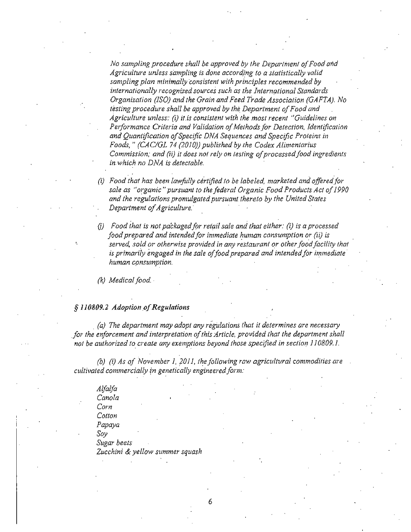*No sampling procedure shall be approved by the Department ofFood and Agriculture unless sampling is done according* 10 *a statistically valid sampling plan minimally consistent with principles recommended by*  internationally recognized sources such as the International Standards *Organization (ISO) and the Grain and Feed trade Association (GAFTA). No*  testing procedure shall be approved by the Department of Food and *Agriculture unless: (i) i!.is consistent with the most recent "Guidelines on*  Performance Criteria and Validation of Methods for Detection, Identification *and Quantification ofSpecific DNA Sequences and Specific Proteins in Foods.* " *(CAC/GL* 74 *(2010)) published by the Codex Alimenlarius Commission; and (ii) it does not rely on testing of processed food ingredients in. which no DNA is detectable.* 

- *(i) Food that has been lawfully ce"rtified* 10 *be labeled, marketed and offered/or*  sale as "organic" pursuant to the federal Organic Food Products Act of 1990 and the regulations promulgated pursuant thereto by the United States *Department of Agriculture.*
- 0) *Food that is not packaged/or retail sale and that either: (i)* is *a processed food prepared and intended for immediate human consumption or (ii) is* served, sold or otherwise provided in any restaurant or other food facility that is primarily engaged in the sale of food prepared and intended for immediate *human consumption.*

*(k) Medical food. .* 

#### § 110809.2 Adoption of Regulations

*(a) The department may adopt any regUlations that it determines are necessary*  for the enforcement and interpretation of this Article, provided that the department shall not be authorized to create any exemptions beyond those specified in section *J10809.1.* 

(b) (i) *As of November* 1, *2011, the following raw agricultural commodities are cultivated commercially 'in genetically engineered form:* 

*Alfalfa Canoia Corn Cotton Papaya Soy Sugar beets* Zucchini & yellow summer squash

6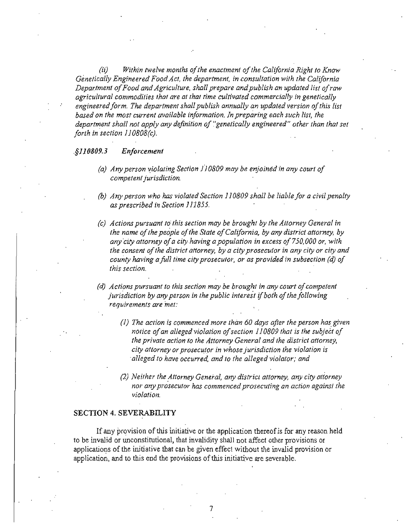(ii) *Within twelve months of the enactment of the California Right to Know Gimefically Engineered Food Act, the department, in consultation with the California Department 0/Food and Agriculture, shall prepare and publish an updated list ofraw agricultural commodities that are at that time cultivated commercially in genetically* engineered form. The department shall publish annually an updated version of this list *based on the most current available information. In preparing each such list, the department shall not apply any definition of* 'genelically *engineered" other than that set forth inseclion ll0808(c).* 

#### *.§110809.3 Enforcement*

- *(a) Any person '!iolating Section* J] *0809 may be enjoined in any court 0/ competent jurisdiction.*
- *(b) Any person who has violated Section* J *10809 shall be liable for a civil penalty as prescribed in Section* 1J1855.
- *(c) Actions pursuant to·this section may be brought by the Attorney General in the name of the people of the State of California, by any district attorney, by any "city attorney ofa city.having a population in excess 01750,000 or, with the consent of the district attorney, by a city prosecutor in any city or city and county having afull time city prosecutor, or as provided in subsection (d) of this section.*
- *(d) Actions pursuant to this section may be brought in any court ojcompetent jurisdiction by any person in the public interest if both of the following reqUirements are met:* 
	- *(1) The action is commenced more than 60 days after the person has given notice of an alleged violation of section 110809 that is the subject of the private action to the Attorney General and the district attorney, city attorney or prosecutor in whose jurisdiction the violation is alleged to have occurred, and to the alleged violator; and*
	- *(2) Neither the Attorney General, any district attorney, any city attorney nor any pro'securor has commenced prosecuting an action against the violation.*

#### SECTION 4. SEVERABILITY

If any provision of this initiative or the application thereof is for any reason held to be invalid or unconstitutional, that invalidity shall not affect other provisions or applications of the initiative that can be given effect without the invalid provision or application, and to this end the provisions of this initiative are severable.